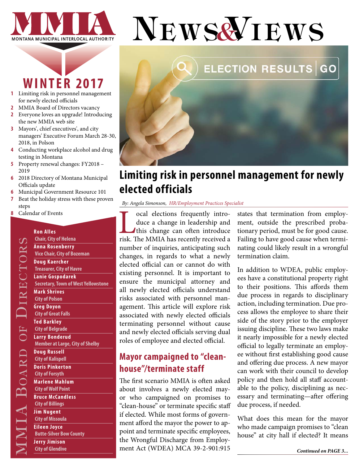

# **WINTER 2017**

- **1** Limiting risk in personnel management for newly elected officials
- **2** [MMIA Board of Directors vacancy](#page-1-0)
- **2** [Everyone loves an upgrade! Introducing](#page-1-0)  [the new MMIA web site](#page-1-0)
- **3** [Mayors', chief executives', and city](#page-2-0)  [managers' Executive Forum March 28-30,](#page-2-0)  [2018, in Polson](#page-2-0)
- **4** [Conducting workplace alcohol and drug](#page-3-0)  [testing in Montana](#page-3-0)
- **5** [Property renewal changes: FY2018](#page-4-0)  [2019](#page-4-0)
- **6** [2018 Directory of Montana Municipal](#page-5-0)  [Officials update](#page-5-0)
- **6** [Municipal Government Resource 101](#page-5-0)
- **7** [Beat the holiday stress with these proven](#page-6-0)  [steps](#page-6-0)
- **8** [Calendar of Events](#page-7-0)

**Ron Alles** 

#### City of Wolf Point<br>
Bruce McCandless<br>
City of Billings<br>
Lim Nugent<br>
City of Missoula<br>
Eileen Joyce<br>
Butte-Silver Bow County<br>
Jerry Jimison<br>
City of Glendive **Chair, City of Helena Anna Rosenberry Vice Chair, City of Bozeman Doug Kaercher Treasurer, City of Havre Lanie Gospodarek Secretary, Town of West Yellowstone Mark Shrives City of Polson Greg Doyon City of Great Falls Ted Barkley City of Belgrade Larry Bonderud Member at Large, City of Shelby Doug Russell City of Kalispell Doris Pinkerton City of Forsyth Marlene Mahlum City of Wolf Point Bruce McCandless City of Billings Jim Nugent City of Missoula Eileen Joyce Butte-Silver Bow County**

**Jerry Jimison City of Glendive**



### **Limiting risk in personnel management for newly elected officials**

*By: Angela Simonson, HR/Employment Practices Specialist*

Local elections frequently intro-risk. The MMIA has recently received a duce a change in leadership and this change can often introduce number of inquiries, anticipating such changes, in regards to what a newly elected official can or cannot do with existing personnel. It is important to ensure the municipal attorney and all newly elected officials understand risks associated with personnel management. This article will explore risk associated with newly elected officials terminating personnel without cause and newly elected officials serving dual roles of employee and elected official.

### **Mayor campaigned to "cleanhouse"/terminate staff**

The first scenario MMIA is often asked about involves a newly elected mayor who campaigned on promises to "clean-house" or terminate specific staff if elected. While most forms of government afford the mayor the power to appoint and terminate specific employees, the Wrongful Discharge from Employment Act (WDEA) MCA 39-2-901:915

states that termination from employment, outside the prescribed probationary period, must be for good cause. Failing to have good cause when terminating could likely result in a wrongful termination claim.

In addition to WDEA, public employees have a constitutional property right to their positions. This affords them due process in regards to disciplinary action, including termination. Due process allows the employee to share their side of the story prior to the employer issuing discipline. These two laws make it nearly impossible for a newly elected official to legally terminate an employee without first establishing good cause and offering due process. A new mayor can work with their council to develop policy and then hold all staff accountable to the policy, disciplining as necessary and terminating—after offering due process, if needed.

What does this mean for the mayor who made campaign promises to "clean house" at city hall if elected? It means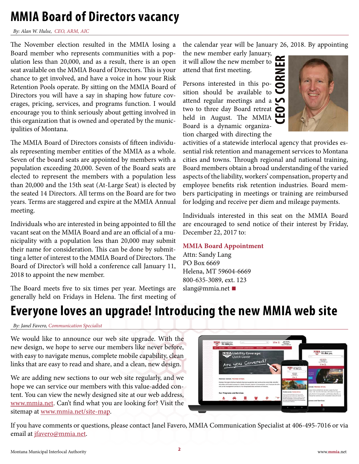## <span id="page-1-0"></span>**MMIA Board of Directors vacancy**

*By: Alan W. Hulse, CEO, ARM, AIC* 

The November election resulted in the MMIA losing a Board member who represents communities with a population less than 20,000, and as a result, there is an open seat available on the MMIA Board of Directors. This is your chance to get involved, and have a voice in how your Risk Retention Pools operate. By sitting on the MMIA Board of Directors you will have a say in shaping how future coverages, pricing, services, and programs function. I would encourage you to think seriously about getting involved in this organization that is owned and operated by the municipalities of Montana.

The MMIA Board of Directors consists of fifteen individuals representing member entities of the MMIA as a whole. Seven of the board seats are appointed by members with a population exceeding 20,000. Seven of the Board seats are elected to represent the members with a population less than 20,000 and the 15th seat (At-Large Seat) is elected by the seated 14 Directors. All terms on the Board are for two years. Terms are staggered and expire at the MMIA Annual meeting.

Individuals who are interested in being appointed to fill the vacant seat on the MMIA Board and are an official of a municipality with a population less than 20,000 may submit their name for consideration. This can be done by submitting a letter of interest to the MMIA Board of Directors. The Board of Director's will hold a conference call January 11, 2018 to appoint the new member.

The Board meets five to six times per year. Meetings are generally held on Fridays in Helena. The first meeting of the calendar year will be January 26, 2018. By appointing

the new member early January, it will allow the new member to attend that first meeting.

**CEO'S CORNER** Persons interested in this position should be available to attend regular meetings and a  $\bullet$ two to three day Board retreat  $\bullet$ held in August. The MMIA Board is a dynamic organization charged with directing the



activities of a statewide interlocal agency that provides essential risk retention and management services to Montana cities and towns. Through regional and national training, Board members obtain a broad understanding of the varied aspects of the liability, workers' compensation, property and employee benefits risk retention industries. Board members participating in meetings or training are reimbursed for lodging and receive per diem and mileage payments.

Individuals interested in this seat on the MMIA Board are encouraged to send notice of their interest by Friday, December 22, 2017 to:

#### **MMIA Board Appointment**

Attn: Sandy Lang PO Box 6669 Helena, MT 59604-6669 800-635-3089, ext. 123 slang@mmia.net **■**

## **Everyone loves an upgrade! Introducing the new MMIA web site**

*By: Janel Favero, Communication Specialist*

We would like to announce our web site upgrade. With the new design, we hope to serve our members like never before, with easy to navigate menus, complete mobile capability, clean links that are easy to read and share, and a clean, new design.

We are adding new sections to our web site regularly, and we hope we can service our members with this value-added content. You can view the newly designed site at our web address, [www.mmia.net.](http://www.mmia.net) Can't find what you are looking for? Visit the sitemap at [www.mmia.net/site-map.](http://www.mmia.net/site-map)



If you have comments or questions, please contact Janel Favero, MMIA Communication Specialist at 406-495-7016 or via email at [jfavero@mmia.net](mailto:jfavero%40mmia.net?subject=).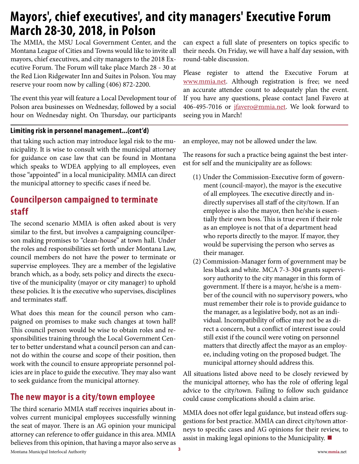### <span id="page-2-0"></span>**Mayors', chief executives', and city managers' Executive Forum March 28-30, 2018, in Polson**

The MMIA, the MSU Local Government Center, and the Montana League of Cities and Towns would like to invite all mayors, chief executives, and city managers to the 2018 Executive Forum. The Forum will take place March 28 - 30 at the Red Lion Ridgewater Inn and Suites in Polson. You may reserve your room now by calling (406) 872-2200.

The event this year will feature a Local Development tour of Polson area businesses on Wednesday, followed by a social hour on Wednesday night. On Thursday, our participants

#### **Limiting risk in personnel management...(cont'd)**

that taking such action may introduce legal risk to the municipality. It is wise to consult with the municipal attorney for guidance on case law that can be found in Montana which speaks to WDEA applying to all employees, even those "appointed" in a local municipality. MMIA can direct the municipal attorney to specific cases if need be.

### **Councilperson campaigned to terminate staff**

The second scenario MMIA is often asked about is very similar to the first, but involves a campaigning councilperson making promises to "clean-house" at town hall. Under the roles and responsibilities set forth under Montana Law, council members do not have the power to terminate or supervise employees. They are a member of the legislative branch which, as a body, sets policy and directs the executive of the municipality (mayor or city manager) to uphold these policies. It is the executive who supervises, disciplines and terminates staff.

What does this mean for the council person who campaigned on promises to make such changes at town hall? This council person would be wise to obtain roles and responsibilities training through the Local Government Center to better understand what a council person can and cannot do within the course and scope of their position, then work with the council to ensure appropriate personnel policies are in place to guide the executive. They may also want to seek guidance from the municipal attorney.

### **The new mayor is a city/town employee**

Montana Municipal Interlocal Authority www.**mmia**.net **<sup>3</sup>** The third scenario MMIA staff receives inquiries about involves current municipal employees successfully winning the seat of mayor. There is an AG opinion your municipal attorney can reference to offer guidance in this area. MMIA believes from this opinion, that having a mayor also serve as

can expect a full slate of presenters on topics specific to their needs. On Friday, we will have a half day session, with round-table discussion.

Please register to attend the Executive Forum at [www.mmia.net](http://www.mmia.net). Although registration is free; we need an accurate attendee count to adequately plan the event. If you have any questions, please contact Janel Favero at 406-495-7016 or [jfavero@mmia.net](mailto:jfavero%40mmia.net?subject=). We look forward to seeing you in March!

an employee, may not be allowed under the law.

The reasons for such a practice being against the best interest for self and the municipality are as follows:

- (1) Under the Commission-Executive form of government (council-mayor), the mayor is the executive of all employees. The executive directly and indirectly supervises all staff of the city/town. If an employee is also the mayor, then he/she is essentially their own boss. This is true even if their role as an employee is not that of a department head who reports directly to the mayor. If mayor, they would be supervising the person who serves as their manager.
- (2) Commission-Manager form of government may be less black and white. MCA 7-3-304 grants supervisory authority to the city manager in this form of government. If there is a mayor, he/she is a member of the council with no supervisory powers, who must remember their role is to provide guidance to the manager, as a legislative body, not as an individual. Incompatibility of office may not be as direct a concern, but a conflict of interest issue could still exist if the council were voting on personnel matters that directly affect the mayor as an employee, including voting on the proposed budget. The municipal attorney should address this.

All situations listed above need to be closely reviewed by the municipal attorney, who has the role of offering legal advice to the city/town. Failing to follow such guidance could cause complications should a claim arise.

MMIA does not offer legal guidance, but instead offers suggestions for best practice. MMIA can direct city/town attorneys to specific cases and AG opinions for their review, to assist in making legal opinions to the Municipality. **■**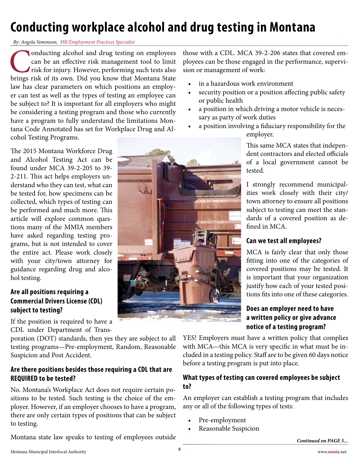# <span id="page-3-0"></span>**Conducting workplace alcohol and drug testing in Montana**

#### *By: Angela Simonson, HR/Employment Practices Specialist*

Conducting alcohol and drug testing on employees can be an effective risk management tool to limit risk for injury. However, performing such tests also brings risk of its own. Did you know that Montana State can be an effective risk management tool to limit risk for injury. However, performing such tests also law has clear parameters on which positions an employer can test as well as the types of testing an employee can be subject to? It is important for all employers who might be considering a testing program and those who currently have a program to fully understand the limitations Montana Code Annotated has set for Workplace Drug and Alcohol Testing Programs.

The 2015 Montana Workforce Drug and Alcohol Testing Act can be found under MCA 39-2-205 to 39- 2-211. This act helps employers understand who they can test, what can be tested for, how specimens can be collected, which types of testing can be performed and much more. This article will explore common questions many of the MMIA members have asked regarding testing programs, but is not intended to cover the entire act. Please work closely with your city/town attorney for guidance regarding drug and alcohol testing.

### **Are all positions requiring a Commercial Drivers License (CDL) subject to testing?**

If the position is required to have a CDL under Department of Trans-

poration (DOT) standards, then yes they are subject to all testing programs—Pre-employment, Random, Reasonable Suspicion and Post Accident.

### **Are there positions besides those requiring a CDL that are REQUIRED to be tested?**

No. Montana's Workplace Act does not require certain positions to be tested. Such testing is the choice of the employer. However, if an employer chooses to have a program, there are only certain types of positions that can be subject to testing.

Montana state law speaks to testing of employees outside

those with a CDL. MCA 39-2-206 states that covered employees can be those engaged in the performance, supervision or management of work:

- in a hazardous work environment
- security position or a position affecting public safety or public health
- a position in which driving a motor vehicle is necessary as party of work duties
- a position involving a fiduciary responsibility for the employer.

This same MCA states that independent contractors and elected officials of a local government cannot be tested.

I strongly recommend municipalities work closely with their city/ town attorney to ensure all positions subject to testing can meet the standards of a covered position as defined in MCA.

### **Can we test all employees?**

MCA is fairly clear that only those fitting into one of the categories of covered positions may be tested. It is important that your organization justify how each of your tested positions fits into one of these categories.

### **Does an employer need to have a written policy or give advance notice of a testing program?**

YES! Employers must have a written policy that complies with MCA—this MCA is very specific in what must be included in a testing policy. Staff are to be given 60 days notice before a testing program is put into place.

### **What types of testing can covered employees be subject to?**

An employer can establish a testing program that includes any or all of the following types of tests:

- Pre-employment
- Reasonable Suspicion



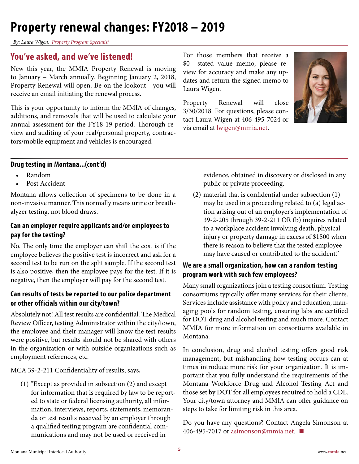## <span id="page-4-0"></span>**Property renewal changes: FY2018 – 2019**

*By: Laura Wigen, Property Program Specialist*

### **You've asked, and we've listened!**

New this year, the MMIA Property Renewal is moving to January – March annually. Beginning January 2, 2018, Property Renewal will open. Be on the lookout - you will receive an email initiating the renewal process.

This is your opportunity to inform the MMIA of changes, additions, and removals that will be used to calculate your annual assessment for the FY18-19 period. Thorough review and auditing of your real/personal property, contractors/mobile equipment and vehicles is encouraged.

For those members that receive a \$0 stated value memo, please review for accuracy and make any updates and return the signed memo to Laura Wigen.

Property Renewal will close 3/30/2018. For questions, please contact Laura Wigen at 406-495-7024 or via email at [lwigen@mmia.net](mailto:lwigen%40mmia.net?subject=).



#### **Drug testing in Montana...(cont'd)**

- Random
- Post Accident

Montana allows collection of specimens to be done in a non-invasive manner. This normally means urine or breathalyzer testing, not blood draws.

### **Can an employer require applicants and/or employees to pay for the testing?**

No. The only time the employer can shift the cost is if the employee believes the positive test is incorrect and ask for a second test to be run on the split sample. If the second test is also positive, then the employee pays for the test. If it is negative, then the employer will pay for the second test.

### **Can results of tests be reported to our police department or other officials within our city/town?**

Absolutely not! All test results are confidential. The Medical Review Officer, testing Administrator within the city/town, the employee and their manager will know the test results were positive, but results should not be shared with others in the organization or with outside organizations such as employment references, etc.

MCA 39-2-211 Confidentiality of results, says,

(1) "Except as provided in subsection (2) and except for information that is required by law to be reported to state or federal licensing authority, all information, interviews, reports, statements, memoranda or test results received by an employer through a qualified testing program are confidential communications and may not be used or received in

evidence, obtained in discovery or disclosed in any public or private proceeding.

(2) material that is confidential under subsection (1) may be used in a proceeding related to (a) legal action arising out of an employer's implementation of 39-2-205 through 39-2-211 OR (b) inquires related to a workplace accident involving death, physical injury or property damage in excess of \$1500 when there is reason to believe that the tested employee may have caused or contributed to the accident."

### **We are a small organization, how can a random testing program work with such few employees?**

Many small organizations join a testing consortium. Testing consortiums typically offer many services for their clients. Services include assistance with policy and education, managing pools for random testing, ensuring labs are certified for DOT drug and alcohol testing and much more. Contact MMIA for more information on consortiums available in Montana.

In conclusion, drug and alcohol testing offers good risk management, but mishandling how testing occurs can at times introduce more risk for your organization. It is important that you fully understand the requirements of the Montana Workforce Drug and Alcohol Testing Act and those set by DOT for all employees required to hold a CDL. Your city/town attorney and MMIA can offer guidance on steps to take for limiting risk in this area.

Do you have an[y questions? Contact A](mailto:asimonson%40mmia.net?subject=)ngela Simonson at 406-495-7017 or asimonson@mmia.net. **■**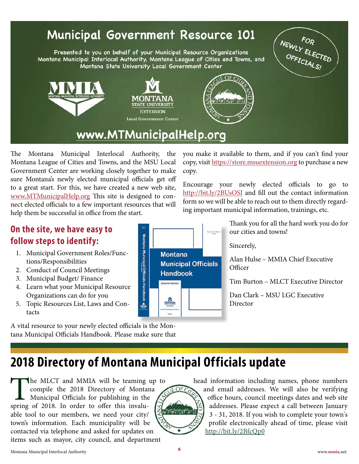## <span id="page-5-0"></span>**Municipal Government**

Presented to you on behalf of your Municipal Resource Organizations Montana Municipal Interlocal Authority, Montana League of Cities and Towns, and Montana State University Local Government Center





MONTA

**STATE UNIVERSITY EXTENSION Local Government Center** 

The Montana Municipal Interlocal Authority, the Montana League of Cities and Towns, and the MSU Local Government Center are working closely together to make sure Montana's newly elected municipal officials get off to a great start. For this, we have created a new web site, [www.MTMunicipalHelp.org](http://www.mtmunicipalhelp.org) This site is designed to connect elected officials to a few important resources that will help them be successful in office from the start.

you make it available to them, and if you can't find your copy, visit [https://store.msuextension.org](https://store.msuextension.org/Products/Montana-Municipal-Officials-Handbook-Second-Edition__EB0281.) to purchase a new copy.

Encourage your newly elected officials to go to http://bit.ly/2BUsOSI and fill out the contact information form so we will be able to reach out to them directly regarding important municipal information, trainings, etc.

**On the site, we have easy to follow steps to identify:**

- 1. Municipal Government Roles/Functions/Responsibilities
- 2. Conduct of Council Meetings
- 3. Municipal Budget/ Finance
- 4. Learn what your Municipal Resource Organizations can do for you
- 5. Topic Resources List, Laws and Contacts

A vital resource to your newly elected officials is the Montana Municipal Officials Handbook. Please make sure that



Thank you for all the hard work you do for our cities and towns!

Sincerely,

 $OFC$ 

**Thursday** 

Alan Hulse – MMIA Chief Executive **Officer** 

Tim Burton – MLCT Executive Director

Dan Clark – MSU LGC Executive Director

## **2018 Directory of Montana Municipal Officials update**

The MLCT and MMIA will be teaming up to<br>compile the 2018 Directory of Montana<br>Municipal Officials for publishing in the<br>g of 2018. In order to offer this invalucompile the 2018 Directory of Montana Municipal Officials for publishing in the spring of 2018. In order to offer this invaluable tool to our members, we need your city/ town's information. Each municipality will be contacted via telephone and asked for updates on items such as mayor, city council, and department

head information including names, phone numbers and email addresses. We will also be verifying office hours, council meetings dates and web site addresses. Please expect a call between January 3 - 31, 2018. If you wish to complete your town's profile electronically ahead of time, please visit http://bit.ly/2BfcQp0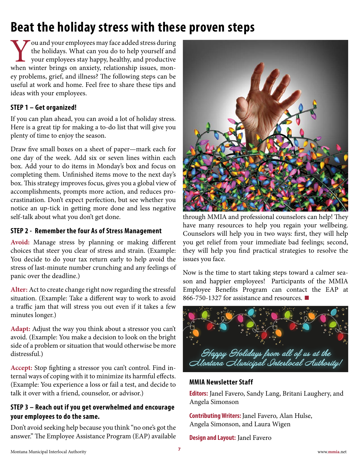# <span id="page-6-0"></span>**Beat the holiday stress with these proven steps**

Vou and your employees may face added stress during<br>the holidays. What can you do to help yourself and<br>your employees stay happy, healthy, and productive<br>when winter brings on anxiety, relationship issues, monthe holidays. What can you do to help yourself and your employees stay happy, healthy, and productive ey problems, grief, and illness? The following steps can be useful at work and home. Feel free to share these tips and ideas with your employees.

### **STEP 1 – Get organized!**

If you can plan ahead, you can avoid a lot of holiday stress. Here is a great tip for making a to-do list that will give you plenty of time to enjoy the season.

Draw five small boxes on a sheet of paper—mark each for one day of the week. Add six or seven lines within each box. Add your to do items in Monday's box and focus on completing them. Unfinished items move to the next day's box. This strategy improves focus, gives you a global view of accomplishments, prompts more action, and reduces procrastination. Don't expect perfection, but see whether you notice an up-tick in getting more done and less negative self-talk about what you don't get done.

### **STEP 2 - Remember the four As of Stress Management**

**Avoid:** Manage stress by planning or making different choices that steer you clear of stress and strain. (Example: You decide to do your tax return early to help avoid the stress of last-minute number crunching and any feelings of panic over the deadline.)

**Alter:** Act to create change right now regarding the stressful situation. (Example: Take a different way to work to avoid a traffic jam that will stress you out even if it takes a few minutes longer.)

**Adapt:** Adjust the way you think about a stressor you can't avoid. (Example: You make a decision to look on the bright side of a problem or situation that would otherwise be more distressful.)

**Accept:** Stop fighting a stressor you can't control. Find internal ways of coping with it to minimize its harmful effects. (Example: You experience a loss or fail a test, and decide to talk it over with a friend, counselor, or advisor.)

### **STEP 3 – Reach out if you get overwhelmed and encourage your employees to do the same.**

Don't avoid seeking help because you think "no one's got the answer." The Employee Assistance Program (EAP) available



through MMIA and professional counselors can help! They have many resources to help you regain your wellbeing. Counselors will help you in two ways: first, they will help you get relief from your immediate bad feelings; second, they will help you find practical strategies to resolve the issues you face.

Now is the time to start taking steps toward a calmer season and happier employees! Participants of the MMIA Employee Benefits Program can contact the EAP at 866-750-1327 for assistance and resources. **■**



### **MMIA Newsletter Staff**

**Editors:** Janel Favero, Sandy Lang, Britani Laughery, and Angela Simonson

**Contributing Writers:** Janel Favero, Alan Hulse, Angela Simonson, and Laura Wigen

**Design and Layout:** Janel Favero